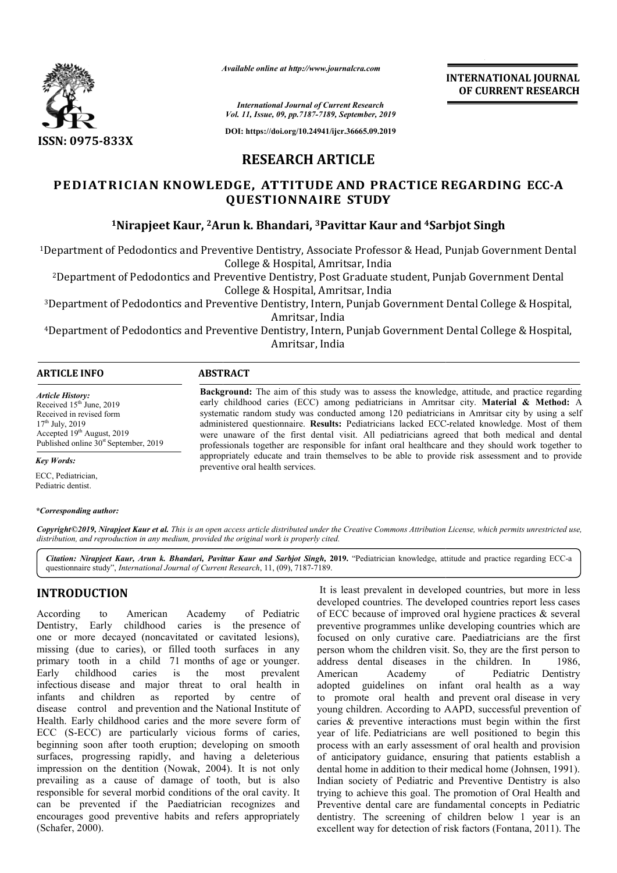

*Available online at http://www.journalcra.com*

**INTERNATIONAL JOURNAL OF CURRENT RESEARCH**

*International Journal of Current Research Vol. 11, Issue, 09, pp.7187-7189, September, 2019*

**DOI: https://doi.org/10.24941/ijcr.36665.09.2019**

# **RESEARCH ARTICLE**

# **PEDIATRICIAN KNOWLED EDGE, ATTITUDE AND PRACTICE RE REGARDING ECC-A QUESTIONNAIRE STUDY**

# **1Nirapjeet Kaur, 2Arun k. Bhandari, Arun 3Pavittar Kaur and 4Sarbjot Sarbjot Singh**

<sup>1</sup>Department of Pedodontics and Preventive Dentistry, Associate Professor & Head, Punjab Government Dental College & Hospital, Amritsar, India

2Department of Pedodontics and Preventive Dentistry, Post Graduate student, Punjab Government Dental Department College & Hospital, Amritsar, India

3Department of Pedodontics and Preventive Dentistry, Intern, Punjab Government Dental College & Hospital, Department Amritsar, India eventive Dentistry, Associate Professor & Head, Punjab Government Denta<br>College & Hospital, Amritsar, India<br>Preventive Dentistry, Post Graduate student, Punjab Government Dental<br>College & Hospital, Amritsar, India<br>Amritsar

4Department of Pedodontics and Preventive Dentistry, Intern, Punjab Government Dental College & Hospital Department Amritsar, India

Background: The aim of this study was to assess the knowledge, attitude, and practice regarding early childhood caries (ECC) among pediatricians in Amritsar city. **Material & Method:** A systematic random study was conducted among 120 pediatricians in Amritsar city by using a self systematic random study was conducted among 120 pediatricians in Amritsar city by using a self administered questionnaire. Results: Pediatricians lacked ECC-related knowledge. Most of them were unaware of the first dental visit. All pediatricians agreed that both medical and dental professionals together are responsible for infant oral healthcare and they should work together to professionals together are responsible for infant oral healthcare and they should work together to appropriately educate and train themselves to be able to provide risk assessment and to provide

### **ARTICLE INFO ABSTRACT**

preventive oral health services.

*Article History:* Received  $15<sup>th</sup>$  June, 2019 Received in revised form 17th July, 2019 Accepted 19<sup>th</sup> August, 2019 Published online  $30<sup>st</sup>$  September, 2019

*Key Words:*

ECC, Pediatrician, Pediatric dentist.

#### *\*Corresponding author:*

Copyright©2019, Nirapjeet Kaur et al. This is an open access article distributed under the Creative Commons Attribution License, which permits unrestricted use, *distribution, and reproduction in any medium, provided the original work is properly cited.*

Citation: Nirapjeet Kaur, Arun k. Bhandari, Pavittar Kaur and Sarbjot Singh, 2019. "Pediatrician knowledge, attitude and practice regarding ECC-a questionnaire study", *International Journal of Current Research* , 11, (09), 7187-7189.

# **INTRODUCTION**

According to American Academy Dentistry, Early childhood caries is the presence of one or more decayed (noncavitated or cavitated lesions), missing (due to caries), or filled tooth surfaces in any primary tooth in a child 71 months of age or younger. Early childhood caries is the infectious disease and major threat to oral health in infants and children as reported disease control and prevention and the National Institute of Health. Early childhood caries and the more severe form of ECC (S-ECC) are particularly vicious forms of caries, beginning soon after tooth eruption; developing on smooth ECC (S-ECC) are particularly vicious forms of caries, beginning soon after tooth eruption; developing on smooth surfaces, progressing rapidly, and having a deleterious impression on the dentition (Nowak, 2004 , 2004). It is not only prevailing as a cause of damage of tooth, but is also responsible for several morbid conditions of the oral cavity. It can be prevented if the Paediatrician recognizes and encourages good preventive habits and refers appropriately (Schafer, 2000). of Pediatric most prevalent by centre of

It is least prevalent in developed countries, but more in less developed countries. The developed countries report less cases It is least prevalent in developed countries, but more in less<br>developed countries. The developed countries report less cases<br>of ECC because of improved oral hygiene practices  $\&$  several preventive programmes unlike developing countries which are focused on only curative care. Paediatricians are the first person whom the children visit. So, they are the first person to address dental diseases in the children. American Academy adopted guidelines on infant oral health as a way to promote oral health and prevent oral disease in very young children. According to AAPD, successful prevention of caries & preventive interactions must begin within the first year of life. Pediatricians are well positioned to begin this process with an early assessment of oral health and provision of anticipatory guidance, ensuring that patients establish a dental home in addition to their medical home (Johnsen, 1991). Indian society of Pediatric and Preventive Dentistry is also trying to achieve this goal. The promotion of Oral Health and Preventive dental care are fundamental concepts in Pediatric dentistry. The screening of children below 1 year is an excellent way for detection of risk factors (Fontana, 2011). The on only curative care. Paediatricians are the first<br>hom the children visit. So, they are the first person to<br>dental diseases in the children. In 1986, of Pediatric Dentistry en. According to AAPD, successful prevention of ventive interactions must begin within the first Pediatricians are well positioned to begin this an early assessment of oral health and provision ry guidance, ensuring that p of Pediatric and Preventive Dentistry is also<br>ve this goal. The promotion of Oral Health and<br>tal care are fundamental concepts in Pediatric<br>screening of children below 1 year is an<br>or detection of risk factors (Fontana, 20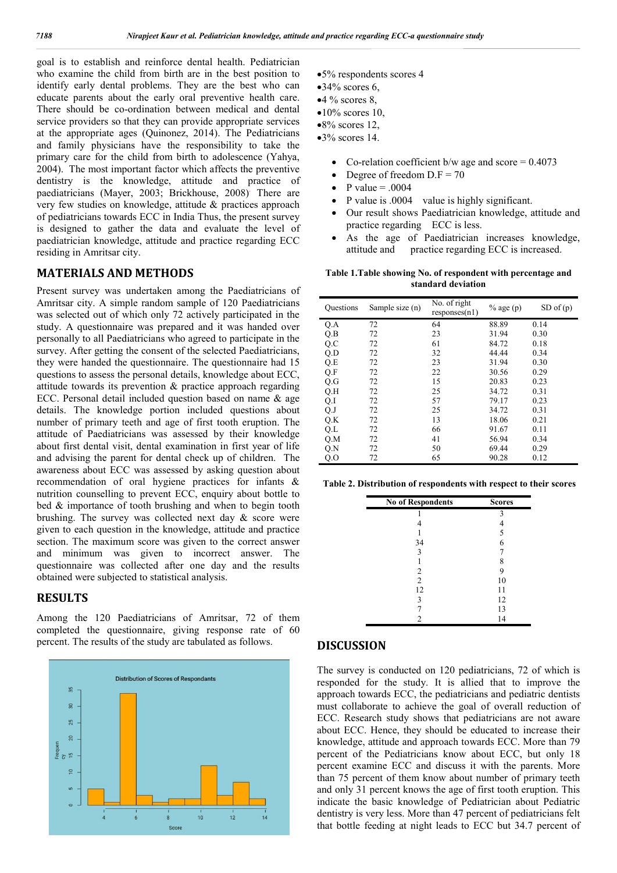goal is to establish and reinforce dental health. Pediatrician who examine the child from birth are in the best position to identify early dental problems. They are the best who can educate parents about the early oral preventive health care. There should be co-ordination between medical and dental service providers so that they can provide appropriate services at the appropriate ages (Quinonez, 2014). The Pediatricians and family physicians have the responsibility to take the primary care for the child from birth to adolescence (Yahya, 2004). The most important factor which affects the preventive dentistry is the knowledge, attitude and practice of paediatricians (Mayer, 2003; Brickhouse, 2008) . There are very few studies on knowledge, attitude & practices approach of pediatricians towards ECC in India Thus, the present survey is designed to gather the data and evaluate the level of paediatrician knowledge, attitude and practice regarding ECC residing in Amritsar city.

## **MATERIALS AND METHODS**

Present survey was undertaken among the Paediatricians of Amritsar city. A simple random sample of 120 Paediatricians was selected out of which only 72 actively participated in the study. A questionnaire was prepared and it was handed over personally to all Paediatricians who agreed to participate in the survey. After getting the consent of the selected Paediatricians, they were handed the questionnaire. The questionnaire had 15 questions to assess the personal details, knowledge about ECC, attitude towards its prevention & practice approach regarding ECC. Personal detail included question based on name & age details. The knowledge portion included questions about number of primary teeth and age of first tooth eruption. The attitude of Paediatricians was assessed by their knowledge about first dental visit, dental examination in first year of life and advising the parent for dental check up of children. The awareness about ECC was assessed by asking question about recommendation of oral hygiene practices for infants & nutrition counselling to prevent ECC, enquiry about bottle to bed & importance of tooth brushing and when to begin tooth brushing. The survey was collected next day  $\&$  score were given to each question in the knowledge, attitude and practice section. The maximum score was given to the correct answer and minimum was given to incorrect answer. The questionnaire was collected after one day and the results obtained were subjected to statistical analysis.

## **RESULTS**

Among the 120 Paediatricians of Amritsar, 72 of them completed the questionnaire, giving response rate of 60 percent. The results of the study are tabulated as follows.



- 5% respondents scores 4
- $•34\%$  scores 6.
- $•4\%$  scores 8,
- $•10\%$  scores 10,
- $\bullet 8\%$  scores 12.
- $•3\%$  scores 14.
	- Co-relation coefficient b/w age and score  $= 0.4073$
	- Degree of freedom  $D.F = 70$
	- P value  $= .0004$
	- P value is .0004 value is highly significant.
	- Our result shows Paediatrician knowledge, attitude and practice regarding ECC is less.
	- As the age of Paediatrician increases knowledge, attitude and practice regarding ECC is increased.

#### **Table 1.Table showing No. of respondent with percentage and standard deviation**

| <b>Questions</b> | Sample size (n) | No. of right<br>responses(n1) | $%$ age $(p)$ | $SD$ of $(p)$ |
|------------------|-----------------|-------------------------------|---------------|---------------|
| Q.A              | 72              | 64                            | 88.89         | 0.14          |
| Q.B              | 72              | 23                            | 31.94         | 0.30          |
| Q.C              | 72              | 61                            | 84.72         | 0.18          |
| Q.D              | 72              | 32                            | 44.44         | 0.34          |
| Q.E              | 72              | 23                            | 31.94         | 0.30          |
| Q.F              | 72              | 22                            | 30.56         | 0.29          |
| Q.G              | 72              | 15                            | 20.83         | 0.23          |
| Q.H              | 72              | 25                            | 34.72         | 0.31          |
| Q.I              | 72              | 57                            | 79.17         | 0.23          |
| $Q_{\cdot}J$     | 72              | 25                            | 34.72         | 0.31          |
| Q.K              | 72              | 13                            | 18.06         | 0.21          |
| Q.L              | 72              | 66                            | 91.67         | 0.11          |
| Q.M              | 72              | 41                            | 56.94         | 0.34          |
| Q.N              | 72              | 50                            | 69.44         | 0.29          |
| Q.O              | 72              | 65                            | 90.28         | 0.12          |

**Table 2. Distribution of respondents with respect to their scores**

| <b>No of Respondents</b> | <b>Scores</b> |
|--------------------------|---------------|
|                          |               |
|                          |               |
|                          |               |
| 34                       | 6             |
| 3                        |               |
|                          |               |
| 2                        |               |
| $\overline{2}$           | 10            |
| 12                       | 11            |
| 3                        | 12            |
|                          | 13            |
|                          | 4             |

## **DISCUSSION**

The survey is conducted on 120 pediatricians, 72 of which is responded for the study. It is allied that to improve the approach towards ECC, the pediatricians and pediatric dentists must collaborate to achieve the goal of overall reduction of ECC. Research study shows that pediatricians are not aware about ECC. Hence, they should be educated to increase their knowledge, attitude and approach towards ECC. More than 79 percent of the Pediatricians know about ECC, but only 18 percent examine ECC and discuss it with the parents. More than 75 percent of them know about number of primary teeth and only 31 percent knows the age of first tooth eruption. This indicate the basic knowledge of Pediatrician about Pediatric dentistry is very less. More than 47 percent of pediatricians felt that bottle feeding at night leads to ECC but 34.7 percent of